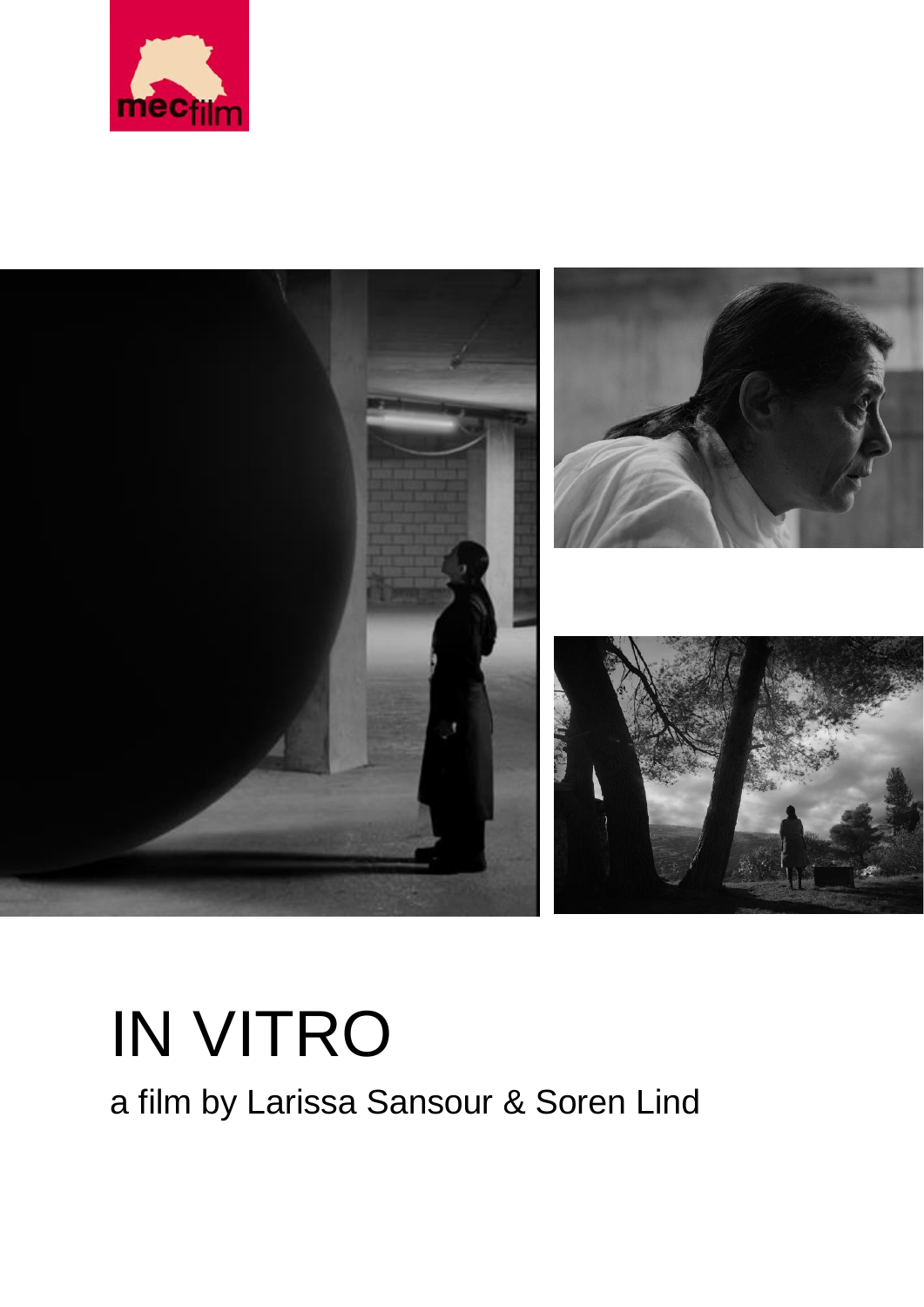



# IN VITRO

a film by Larissa Sansour & Soren Lind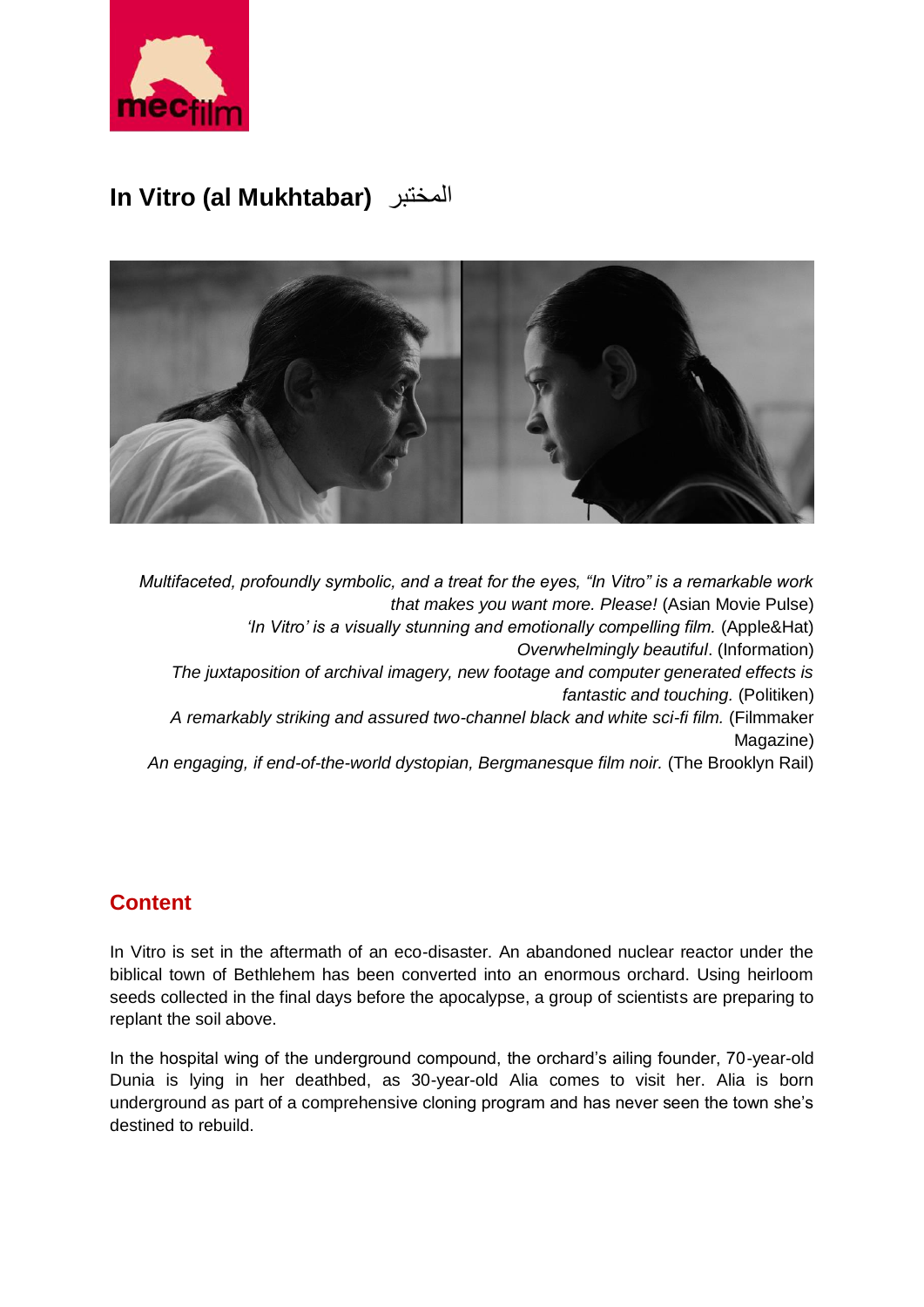

## **In Vitro (al Mukhtabar)** المختبر



*Multifaceted, profoundly symbolic, and a treat for the eyes, "In Vitro" is a remarkable work that makes you want more. Please!* (Asian Movie Pulse) *'In Vitro' is a visually stunning and emotionally compelling film.* (Apple&Hat) *Overwhelmingly beautiful*. (Information) *The juxtaposition of archival imagery, new footage and computer generated effects is fantastic and touching.* (Politiken) *A remarkably striking and assured two-channel black and white sci-fi film.* (Filmmaker Magazine) *An engaging, if end-of-the-world dystopian, Bergmanesque film noir.* (The Brooklyn Rail)

## **Content**

In Vitro is set in the aftermath of an eco-disaster. An abandoned nuclear reactor under the biblical town of Bethlehem has been converted into an enormous orchard. Using heirloom seeds collected in the final days before the apocalypse, a group of scientists are preparing to replant the soil above.

In the hospital wing of the underground compound, the orchard's ailing founder, 70-year-old Dunia is lying in her deathbed, as 30-year-old Alia comes to visit her. Alia is born underground as part of a comprehensive cloning program and has never seen the town she's destined to rebuild.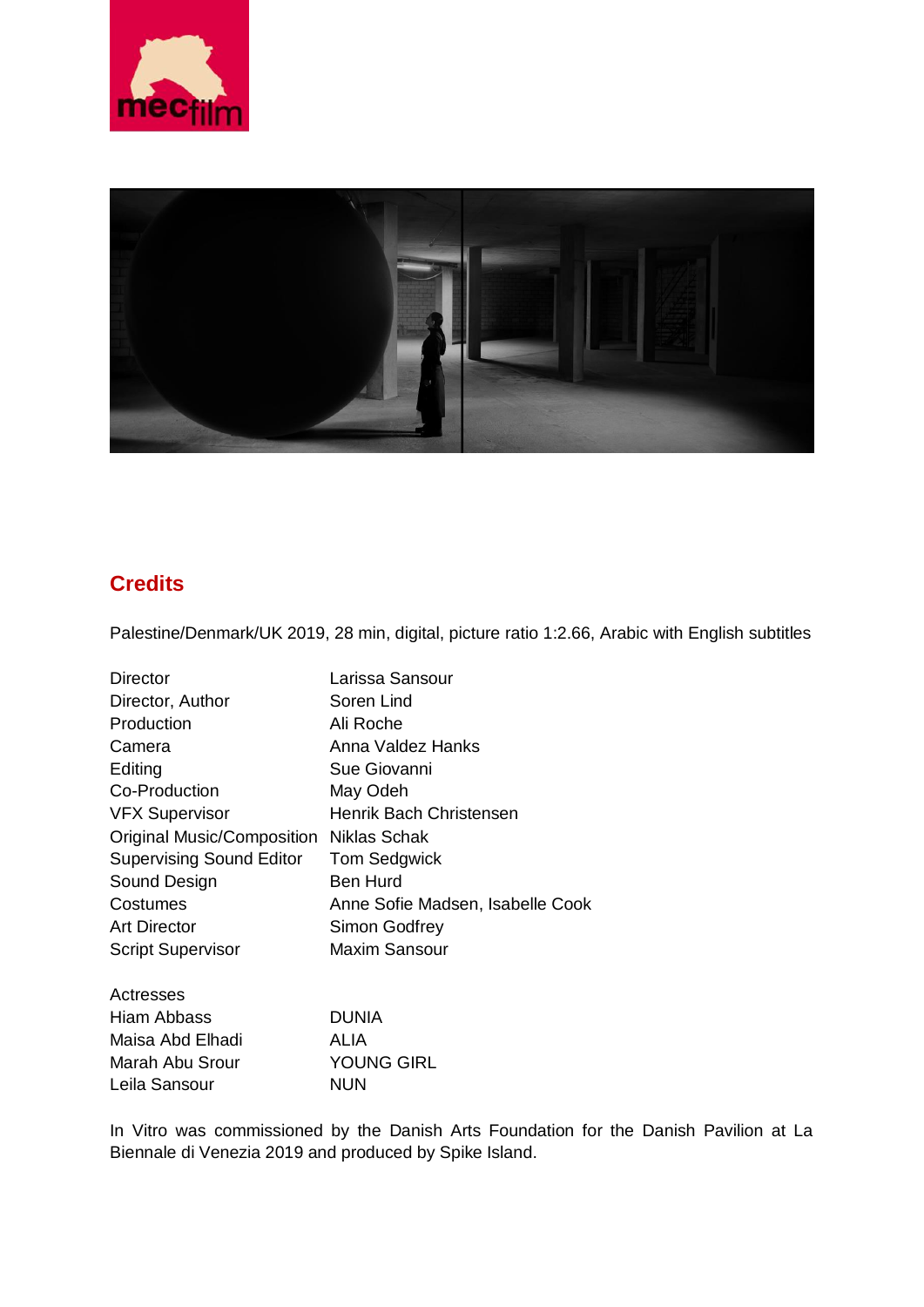



## **Credits**

Palestine/Denmark/UK 2019, 28 min, digital, picture ratio 1:2.66, Arabic with English subtitles

| Director                                | Larissa Sansour                  |
|-----------------------------------------|----------------------------------|
| Director, Author                        | Soren Lind                       |
| Production                              | Ali Roche                        |
| Camera                                  | Anna Valdez Hanks                |
| Editing                                 | Sue Giovanni                     |
| Co-Production                           | May Odeh                         |
| <b>VFX Supervisor</b>                   | Henrik Bach Christensen          |
| Original Music/Composition Niklas Schak |                                  |
| <b>Supervising Sound Editor</b>         | <b>Tom Sedgwick</b>              |
| Sound Design                            | <b>Ben Hurd</b>                  |
| Costumes                                | Anne Sofie Madsen, Isabelle Cook |
| <b>Art Director</b>                     | Simon Godfrey                    |
| <b>Script Supervisor</b>                | <b>Maxim Sansour</b>             |
| Actresses                               |                                  |
| Hiam Abbass                             | <b>DUNIA</b>                     |
| Maisa Abd Elhadi                        | ALIA                             |
| Marah Abu Srour                         | <b>YOUNG GIRL</b>                |
| Leila Sansour                           | <b>NUN</b>                       |

In Vitro was commissioned by the Danish Arts Foundation for the Danish Pavilion at La Biennale di Venezia 2019 and produced by Spike Island.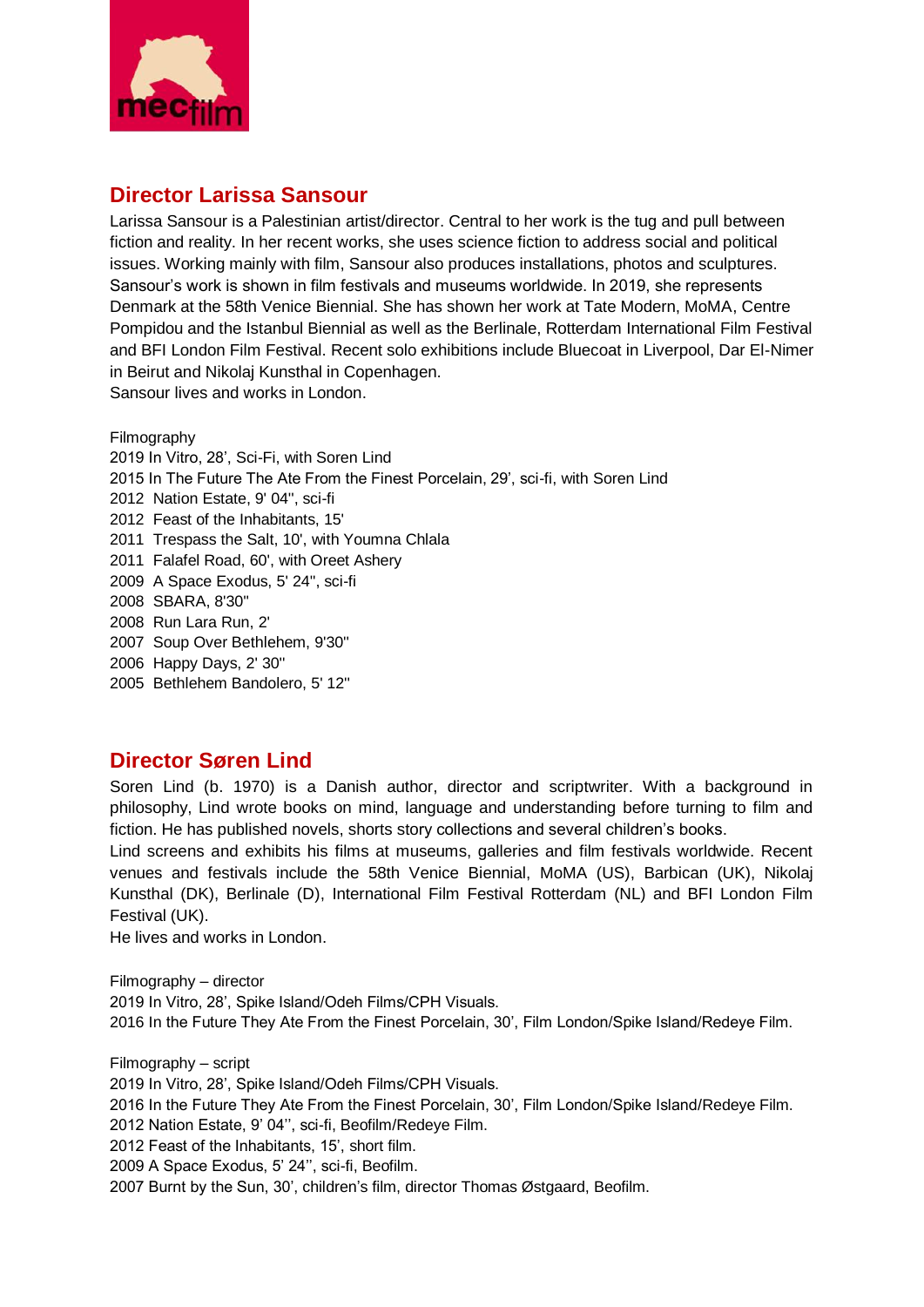

### **Director Larissa Sansour**

Larissa Sansour is a Palestinian artist/director. Central to her work is the tug and pull between fiction and reality. In her recent works, she uses science fiction to address social and political issues. Working mainly with film, Sansour also produces installations, photos and sculptures. Sansour's work is shown in film festivals and museums worldwide. In 2019, she represents Denmark at the 58th Venice Biennial. She has shown her work at Tate Modern, MoMA, Centre Pompidou and the Istanbul Biennial as well as the Berlinale, Rotterdam International Film Festival and BFI London Film Festival. Recent solo exhibitions include Bluecoat in Liverpool, Dar El-Nimer in Beirut and Nikolaj Kunsthal in Copenhagen. Sansour lives and works in London.

Filmography 2019 In Vitro, 28', Sci-Fi, with Soren Lind 2015 In The Future The Ate From the Finest Porcelain, 29', sci-fi, with Soren Lind 2012 Nation Estate, 9' 04'', sci-fi 2012 Feast of the Inhabitants, 15' 2011 Trespass the Salt, 10', with Youmna Chlala 2011 Falafel Road, 60', with Oreet Ashery 2009 A Space Exodus, 5' 24'', sci-fi 2008 SBARA, 8'30'' 2008 Run Lara Run, 2' 2007 Soup Over Bethlehem, 9'30'' 2006 Happy Days, 2' 30'' 2005 Bethlehem Bandolero, 5' 12''

#### **Director Søren Lind**

Soren Lind (b. 1970) is a Danish author, director and scriptwriter. With a background in philosophy, Lind wrote books on mind, language and understanding before turning to film and fiction. He has published novels, shorts story collections and several children's books.

Lind screens and exhibits his films at museums, galleries and film festivals worldwide. Recent venues and festivals include the 58th Venice Biennial, MoMA (US), Barbican (UK), Nikolaj Kunsthal (DK), Berlinale (D), International Film Festival Rotterdam (NL) and BFI London Film Festival (UK).

He lives and works in London.

Filmography – director 2019 In Vitro, 28', Spike Island/Odeh Films/CPH Visuals. 2016 In the Future They Ate From the Finest Porcelain, 30', Film London/Spike Island/Redeye Film.

Filmography – script 2019 In Vitro, 28', Spike Island/Odeh Films/CPH Visuals. 2016 In the Future They Ate From the Finest Porcelain, 30', Film London/Spike Island/Redeye Film. 2012 Nation Estate, 9' 04'', sci-fi, Beofilm/Redeye Film. 2012 Feast of the Inhabitants, 15', short film. 2009 A Space Exodus, 5' 24'', sci-fi, Beofilm. 2007 Burnt by the Sun, 30', children's film, director Thomas Østgaard, Beofilm.